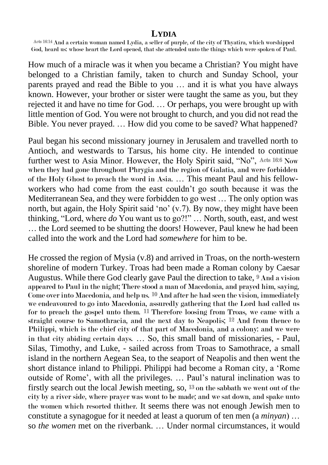## **LYDIA**

Acts 16:14 And a certain woman named Lydia, a seller of purple, of the city of Thyatira, which worshipped God, heard us: whose heart the Lord opened, that she attended unto the things which were spoken of Paul.

How much of a miracle was it when you became a Christian? You might have belonged to a Christian family, taken to church and Sunday School, your parents prayed and read the Bible to you … and it is what you have always known. However, your brother or sister were taught the same as you, but they rejected it and have no time for God. … Or perhaps, you were brought up with little mention of God. You were not brought to church, and you did not read the Bible. You never prayed. … How did you come to be saved? What happened?

Paul began his second missionary journey in Jerusalem and travelled north to Antioch, and westwards to Tarsus, his home city. He intended to continue further west to Asia Minor. However, the Holy Spirit said, "No", Acts 16:6 Now when they had gone throughout Phrygia and the region of Galatia, and were forbidden of the Holy Ghost to preach the word in Asia. … This meant Paul and his fellowworkers who had come from the east couldn't go south because it was the Mediterranean Sea, and they were forbidden to go west … The only option was north, but again, the Holy Spirit said 'no' (v.7). By now, they might have been thinking, "Lord, where *do* You want us to go?!" … North, south, east, and west … the Lord seemed to be shutting the doors! However, Paul knew he had been called into the work and the Lord had *somewhere* for him to be.

He crossed the region of Mysia (v.8) and arrived in Troas, on the north-western shoreline of modern Turkey. Troas had been made a Roman colony by Caesar Augustus. While there God clearly gave Paul the direction to take, 9 And a vision appeared to Paul in the night; There stood a man of Macedonia, and prayed him, saying, Come over into Macedonia, and help us. 10 And after he had seen the vision, immediately we endeavoured to go into Macedonia, assuredly gathering that the Lord had called us for to preach the gospel unto them.  $11$  Therefore loosing from Troas, we came with a straight course to Samothracia, and the next day to Neapolis; 12 And from thence to Philippi, which is the chief city of that part of Macedonia, and a colony: and we were in that city abiding certain days. … So, this small band of missionaries, - Paul, Silas, Timothy, and Luke, - sailed across from Troas to Samothrace, a small island in the northern Aegean Sea, to the seaport of Neapolis and then went the short distance inland to Philippi. Philippi had become a Roman city, a 'Rome outside of Rome', with all the privileges. … Paul's natural inclination was to firstly search out the local Jewish meeting, so, 13 on the sabbath we went out of the city by a river side, where prayer was wont to be made; and we sat down, and spake unto the women which resorted thither. It seems there was not enough Jewish men to constitute a synagogue for it needed at least a quorum of ten men (a *minyan*) … so *the women* met on the riverbank. … Under normal circumstances, it would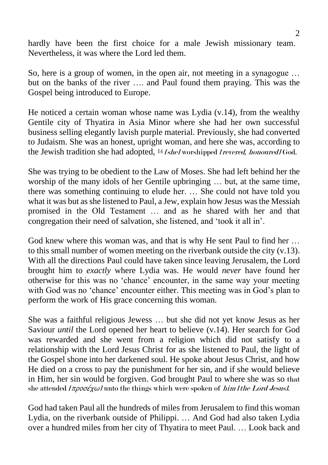hardly have been the first choice for a male Jewish missionary team. Nevertheless, it was where the Lord led them.

So, here is a group of women, in the open air, not meeting in a synagogue … but on the banks of the river …. and Paul found them praying. This was the Gospel being introduced to Europe.

He noticed a certain woman whose name was Lydia (v.14), from the wealthy Gentile city of Thyatira in Asia Minor where she had her own successful business selling elegantly lavish purple material. Previously, she had converted to Judaism. She was an honest, upright woman, and here she was, according to the Jewish tradition she had adopted, <sup>14</sup> [she] worshipped [revered, honoured] God.

She was trying to be obedient to the Law of Moses. She had left behind her the worship of the many idols of her Gentile upbringing … but, at the same time, there was something continuing to elude her. … She could not have told you what it was but as she listened to Paul, a Jew, explain how Jesus was the Messiah promised in the Old Testament … and as he shared with her and that congregation their need of salvation, she listened, and 'took it all in'.

God knew where this woman was, and that is why He sent Paul to find her … to this small number of women meeting on the riverbank outside the city (v.13). With all the directions Paul could have taken since leaving Jerusalem, the Lord brought him to *exactly* where Lydia was. He would *never* have found her otherwise for this was no 'chance' encounter, in the same way your meeting with God was no 'chance' encounter either. This meeting was in God's plan to perform the work of His grace concerning this woman.

She was a faithful religious Jewess … but she did not yet know Jesus as her Saviour *until* the Lord opened her heart to believe (v.14). Her search for God was rewarded and she went from a religion which did not satisfy to a relationship with the Lord Jesus Christ for as she listened to Paul, the light of the Gospel shone into her darkened soul. He spoke about Jesus Christ, and how He died on a cross to pay the punishment for her sin, and if she would believe in Him, her sin would be forgiven. God brought Paul to where she was so that she attended  $I\pi\rho o\sigma \epsilon \chi \omega I$  unto the things which were spoken of *him [the Lord Jesus]*.

God had taken Paul all the hundreds of miles from Jerusalem to find this woman Lydia, on the riverbank outside of Philippi. … And God had also taken Lydia over a hundred miles from her city of Thyatira to meet Paul. … Look back and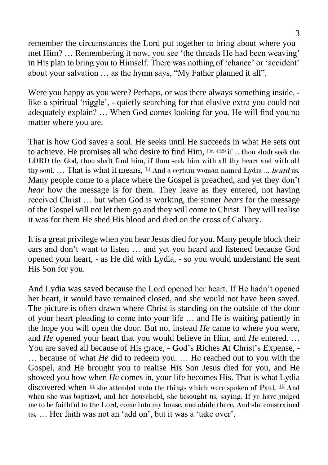remember the circumstances the Lord put together to bring about where you met Him? … Remembering it now, you see 'the threads He had been weaving' in His plan to bring you to Himself. There was nothing of 'chance' or 'accident' about your salvation … as the hymn says, "My Father planned it all".

Were you happy as you were? Perhaps, or was there always something inside, like a spiritual 'niggle', - quietly searching for that elusive extra you could not adequately explain? … When God comes looking for you, He will find you no matter where you are.

That is how God saves a soul. He seeks until He succeeds in what He sets out to achieve. He promises all who desire to find Him, Dt. 4:29 if … thou shalt seek the LORD thy God, thou shalt find him, if thou seek him with all thy heart and with all thy soul. ... That is what it means, <sup>14</sup> And a certain woman named Lydia ... *heard* us. Many people come to a place where the Gospel is preached, and yet they don't *hear* how the message is for them. They leave as they entered, not having received Christ … but when God is working, the sinner *hears* for the message of the Gospel will not let them go and they will come to Christ. They will realise it was for them He shed His blood and died on the cross of Calvary.

It is a great privilege when you hear Jesus died for you. Many people block their ears and don't want to listen … and yet you heard and listened because God opened your heart, - as He did with Lydia, - so you would understand He sent His Son for you.

And Lydia was saved because the Lord opened her heart. If He hadn't opened her heart, it would have remained closed, and she would not have been saved. The picture is often drawn where Christ is standing on the outside of the door of your heart pleading to come into your life … and He is waiting patiently in the hope you will open the door. But no, instead *He* came to where you were, and *He* opened your heart that you would believe in Him, and *He* entered. … You are saved all because of His grace, - **G**od's **R**iches **A**t **C**hrist's **E**xpense, - … because of what *He* did to redeem you. … He reached out to you with the Gospel, and He brought you to realise His Son Jesus died for you, and He showed you how when *He* comes in, your life becomes His. That is what Lydia discovered when 14 she attended unto the things which were spoken of Paul. 15 And when she was baptized, and her household, she besought us, saying, If ye have judged me to be faithful to the Lord, come into my house, and abide there. And she constrained us. … Her faith was not an 'add on', but it was a 'take over'.